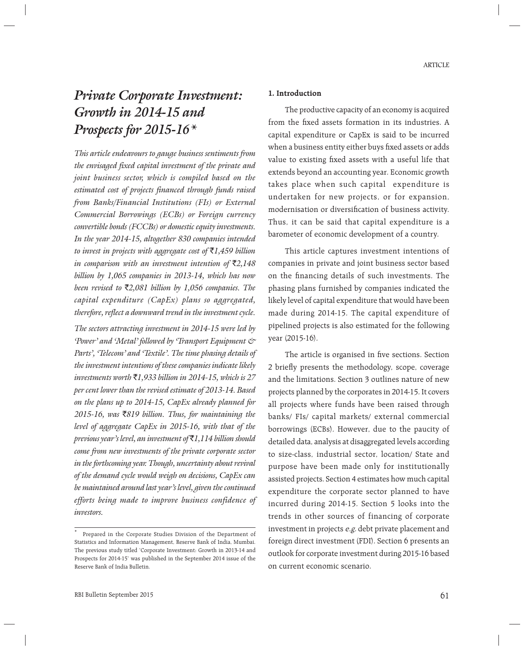# *Private Corporate Investment: Growth in 2014-15 and Prospects for 2015-16\**

*This article endeavours to gauge business sentiments from the envisaged fixed capital investment of the private and joint business sector, which is compiled based on the estimated cost of projects financed through funds raised from Banks/Financial Institutions (FIs) or External Commercial Borrowings (ECBs) or Foreign currency convertible bonds (FCCBs) or domestic equity investments. In the year 2014-15, altogether 830 companies intended to invest in projects with aggregate cost of* `*1,459 billion in comparison with an investment intention of*  $\bar{\tau}$ 2,148 *billion by 1,065 companies in 2013-14, which has now been revised to* `*2,081 billion by 1,056 companies. The capital expenditure (CapEx) plans so aggregated, therefore, reflect a downward trend in the investment cycle.*

*The sectors attracting investment in 2014-15 were led by 'Power' and 'Metal' followed by 'Transport Equipment & Parts', 'Telecom' and 'Textile'. The time phasing details of the investment intentions of these companies indicate likely investments worth* `*1,933 billion in 2014-15, which is 27 per cent lower than the revised estimate of 2013-14. Based on the plans up to 2014-15, CapEx already planned for 2015-16, was* `*819 billion. Thus, for maintaining the level of aggregate CapEx in 2015-16, with that of the previous year's level, an investment of* `*1,114 billion should come from new investments of the private corporate sector in the forthcoming year. Though, uncertainty about revival of the demand cycle would weigh on decisions, CapEx can be maintained around last year's level, given the continued efforts being made to improve business confidence of investors.*

#### **1. Introduction**

 The productive capacity of an economy is acquired from the fixed assets formation in its industries. A capital expenditure or CapEx is said to be incurred when a business entity either buys fixed assets or adds value to existing fixed assets with a useful life that extends beyond an accounting year. Economic growth takes place when such capital expenditure is undertaken for new projects, or for expansion, modernisation or diversification of business activity. Thus, it can be said that capital expenditure is a barometer of economic development of a country.

 This article captures investment intentions of companies in private and joint business sector based on the financing details of such investments. The phasing plans furnished by companies indicated the likely level of capital expenditure that would have been made during 2014-15. The capital expenditure of pipelined projects is also estimated for the following year (2015-16).

The article is organised in five sections. Section 2 briefly presents the methodology, scope, coverage and the limitations. Section 3 outlines nature of new projects planned by the corporates in 2014-15. It covers all projects where funds have been raised through banks/ FIs/ capital markets/ external commercial borrowings (ECBs). However, due to the paucity of detailed data, analysis at disaggregated levels according to size-class, industrial sector, location/ State and purpose have been made only for institutionally assisted projects. Section 4 estimates how much capital expenditure the corporate sector planned to have incurred during 2014-15. Section 5 looks into the trends in other sources of financing of corporate investment in projects e.g. debt private placement and foreign direct investment (FDI). Section 6 presents an outlook for corporate investment during 2015-16 based on current economic scenario.

<sup>\*</sup> Prepared in the Corporate Studies Division of the Department of Statistics and Information Management, Reserve Bank of India, Mumbai. The previous study titled 'Corporate Investment: Growth in 2013-14 and Prospects for 2014-15' was published in the September 2014 issue of the Reserve Bank of India Bulletin.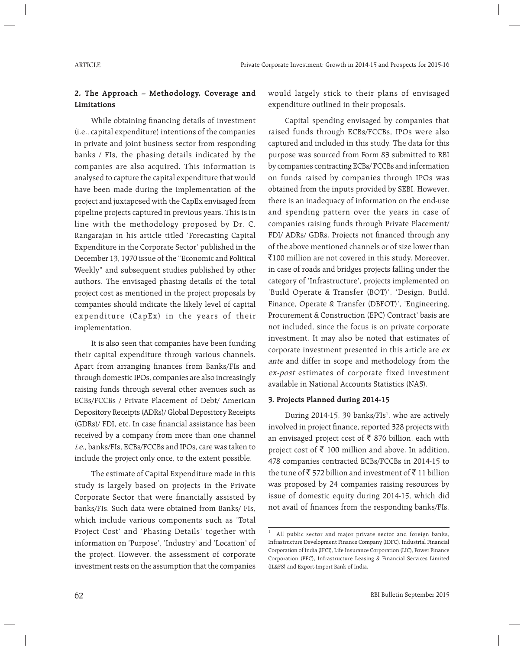# **2. The Approach – Methodology, Coverage and Limitations**

While obtaining financing details of investment (i.e., capital expenditure) intentions of the companies in private and joint business sector from responding banks / FIs, the phasing details indicated by the companies are also acquired. This information is analysed to capture the capital expenditure that would have been made during the implementation of the project and juxtaposed with the CapEx envisaged from pipeline projects captured in previous years. This is in line with the methodology proposed by Dr. C. Rangarajan in his article titled 'Forecasting Capital Expenditure in the Corporate Sector' published in the December 13, 1970 issue of the "Economic and Political Weekly" and subsequent studies published by other authors. The envisaged phasing details of the total project cost as mentioned in the project proposals by companies should indicate the likely level of capital expenditure (CapEx) in the years of their implementation.

 It is also seen that companies have been funding their capital expenditure through various channels. Apart from arranging finances from Banks/FIs and through domestic IPOs, companies are also increasingly raising funds through several other avenues such as ECBs/FCCBs / Private Placement of Debt/ American Depository Receipts (ADRs)/ Global Depository Receipts (GDRs)/ FDI, etc. In case financial assistance has been received by a company from more than one channel i.e., banks/FIs, ECBs/FCCBs and IPOs, care was taken to include the project only once, to the extent possible.

 The estimate of Capital Expenditure made in this study is largely based on projects in the Private Corporate Sector that were financially assisted by banks/FIs. Such data were obtained from Banks/ FIs, which include various components such as 'Total Project Cost' and 'Phasing Details' together with information on 'Purpose', 'Industry' and 'Location' of the project. However, the assessment of corporate investment rests on the assumption that the companies

would largely stick to their plans of envisaged expenditure outlined in their proposals.

 Capital spending envisaged by companies that raised funds through ECBs/FCCBs, IPOs were also captured and included in this study. The data for this purpose was sourced from Form 83 submitted to RBI by companies contracting ECBs/ FCCBs and information on funds raised by companies through IPOs was obtained from the inputs provided by SEBI. However, there is an inadequacy of information on the end-use and spending pattern over the years in case of companies raising funds through Private Placement/ FDI/ ADRs/ GDRs. Projects not financed through any of the above mentioned channels or of size lower than ₹100 million are not covered in this study. Moreover, in case of roads and bridges projects falling under the category of 'Infrastructure', projects implemented on 'Build Operate & Transfer (BOT)', 'Design, Build, Finance, Operate & Transfer (DBFOT)', 'Engineering, Procurement & Construction (EPC) Contract' basis are not included, since the focus is on private corporate investment. It may also be noted that estimates of corporate investment presented in this article are ex ante and differ in scope and methodology from the ex-post estimates of corporate fixed investment available in National Accounts Statistics (NAS).

#### **3. Projects Planned during 2014-15**

During 2014-15, 39 banks/FIs<sup>1</sup>, who are actively involved in project finance, reported 328 projects with an envisaged project cost of  $\bar{\bar{\xi}}$  876 billion, each with project cost of  $\bar{\tau}$  100 million and above. In addition, 478 companies contracted ECBs/FCCBs in 2014-15 to the tune of  $\bar{\tau}$  572 billion and investment of  $\bar{\tau}$  11 billion was proposed by 24 companies raising resources by issue of domestic equity during 2014-15, which did not avail of finances from the responding banks/FIs.

<sup>1</sup> All public sector and major private sector and foreign banks, Infrastructure Development Finance Company (IDFC), Industrial Financial Corporation of India (IFCI), Life Insurance Corporation (LIC), Power Finance Corporation (PFC), Infrastructure Leasing & Financial Services Limited (IL&FS) and Export-Import Bank of India.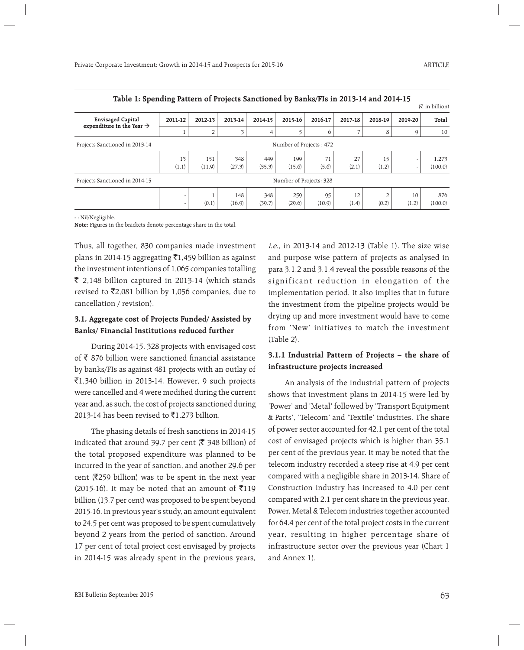| Table 1: Spending Fattern of Frojects Sanctioned by Banks/Fis in 2019-14 and 2014-15<br>$(\bar{\bar{\mathbf{\tau}}}$ in billion) |                         |                |               |               |               |                         |             |             |         |                  |  |  |  |
|----------------------------------------------------------------------------------------------------------------------------------|-------------------------|----------------|---------------|---------------|---------------|-------------------------|-------------|-------------|---------|------------------|--|--|--|
| <b>Envisaged Capital</b>                                                                                                         | 2011-12                 | 2012-13        | 2013-14       | 2014-15       | 2015-16       | 2016-17                 | 2017-18     | 2018-19     | 2019-20 | Total            |  |  |  |
| expenditure in the Year $\rightarrow$                                                                                            |                         | $\overline{2}$ | 3             | 4             |               | 6                       |             | 8           | 9       | 10               |  |  |  |
| Projects Sanctioned in 2013-14                                                                                                   | Number of Projects: 472 |                |               |               |               |                         |             |             |         |                  |  |  |  |
|                                                                                                                                  | 13<br>(1.1)             | 151<br>(11.9)  | 348<br>(27.3) | 449<br>(35.3) | 199<br>(15.6) | 71<br>(5.6)             | 27<br>(2.1) | 15<br>(1.2) |         | 1,273<br>(100.0) |  |  |  |
| Projects Sanctioned in 2014-15                                                                                                   |                         |                |               |               |               | Number of Projects: 328 |             |             |         |                  |  |  |  |
|                                                                                                                                  |                         |                | 148           | 348           | 259           | 95                      | 12          |             | 10      | 876              |  |  |  |
|                                                                                                                                  |                         | (0.1)          | (16.9)        | (39.7)        | (29.6)        | (10.9)                  | (1.4)       | (0.2)       | (1.2)   | (100.0)          |  |  |  |

**Table 1: Spending Pattern of Projects Sanctioned by Banks/FIs in 2013-14 and 2014-15**

- : Nil/Negligible.

**Note:** Figures in the brackets denote percentage share in the total.

Thus, all together, 830 companies made investment plans in 2014-15 aggregating  $\bar{\tau}$ 1,459 billion as against the investment intentions of 1,065 companies totalling  $\bar{\xi}$  2,148 billion captured in 2013-14 (which stands revised to  $\bar{\mathcal{E}}$ 2,081 billion by 1,056 companies, due to cancellation / revision).

#### **3.1. Aggregate cost of Projects Funded/ Assisted by Banks/ Financial Institutions reduced further**

 During 2014-15, 328 projects with envisaged cost of  $\bar{\tau}$  876 billion were sanctioned financial assistance by banks/FIs as against 481 projects with an outlay of  $\bar{5}1,340$  billion in 2013-14. However, 9 such projects were cancelled and 4 were modified during the current year and, as such, the cost of projects sanctioned during 2013-14 has been revised to  $\bar{\mathfrak{c}}$ 1,273 billion.

 The phasing details of fresh sanctions in 2014-15 indicated that around 39.7 per cent ( $\bar{\mathfrak{c}}$  348 billion) of the total proposed expenditure was planned to be incurred in the year of sanction, and another 29.6 per cent ( $\bar{\mathfrak{Z}}$ 259 billion) was to be spent in the next year (2015-16). It may be noted that an amount of  $\bar{z}$ 119 billion (13.7 per cent) was proposed to be spent beyond 2015-16. In previous year's study, an amount equivalent to 24.5 per cent was proposed to be spent cumulatively beyond 2 years from the period of sanction. Around 17 per cent of total project cost envisaged by projects in 2014-15 was already spent in the previous years, i.e., in 2013-14 and 2012-13 (Table 1). The size wise and purpose wise pattern of projects as analysed in para 3.1.2 and 3.1.4 reveal the possible reasons of the significant reduction in elongation of the implementation period. It also implies that in future the investment from the pipeline projects would be drying up and more investment would have to come from 'New' initiatives to match the investment (Table 2).

### **3.1.1 Industrial Pattern of Projects – the share of infrastructure projects increased**

 An analysis of the industrial pattern of projects shows that investment plans in 2014-15 were led by 'Power' and 'Metal' followed by 'Transport Equipment & Parts', 'Telecom' and 'Textile' industries. The share of power sector accounted for 42.1 per cent of the total cost of envisaged projects which is higher than 35.1 per cent of the previous year. It may be noted that the telecom industry recorded a steep rise at 4.9 per cent compared with a negligible share in 2013-14. Share of Construction industry has increased to 4.0 per cent compared with 2.1 per cent share in the previous year. Power, Metal & Telecom industries together accounted for 64.4 per cent of the total project costs in the current year, resulting in higher percentage share of infrastructure sector over the previous year (Chart 1 and Annex 1).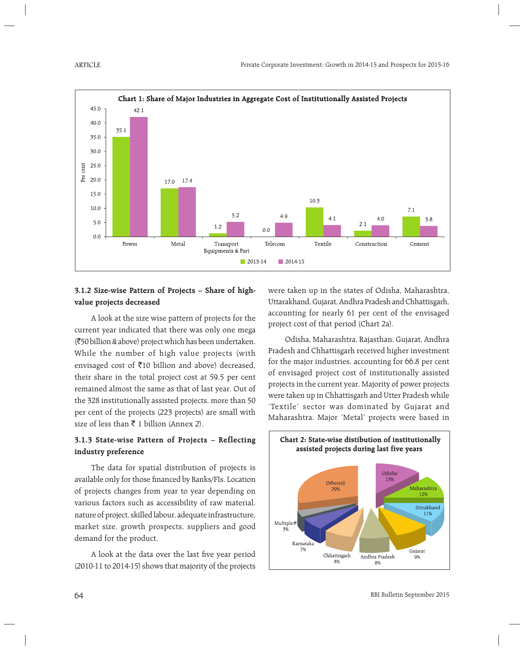

# **3.1.2 Size-wise Pattern of Projects – Share of highvalue projects decreased**

 A look at the size wise pattern of projects for the current year indicated that there was only one mega (`50 billion & above) project which has been undertaken. While the number of high value projects (with envisaged cost of  $\bar{x}$ 10 billion and above) decreased, their share in the total project cost at 59.5 per cent remained almost the same as that of last year. Out of the 328 institutionally assisted projects, more than 50 per cent of the projects (223 projects) are small with size of less than  $\bar{\tau}$  1 billion (Annex 2).

# **3.1.3 State-wise Pattern of Projects – Reflecting industry preference**

 The data for spatial distribution of projects is available only for those financed by Banks/FIs. Location of projects changes from year to year depending on various factors such as accessibility of raw material, nature of project, skilled labour, adequate infrastructure, market size, growth prospects, suppliers and good demand for the product.

A look at the data over the last five year period  $(2010-11$  to  $2014-15)$  shows that majority of the projects were taken up in the states of Odisha, Maharashtra, Uttarakhand, Gujarat, Andhra Pradesh and Chhattisgarh, accounting for nearly 61 per cent of the envisaged project cost of that period (Chart 2a).

 Odisha, Maharashtra, Rajasthan, Gujarat, Andhra Pradesh and Chhattisgarh received higher investment for the major industries, accounting for 66.8 per cent of envisaged project cost of institutionally assisted projects in the current year. Majority of power projects were taken up in Chhattisgarh and Utter Pradesh while 'Textile' sector was dominated by Gujarat and Maharashtra. Major 'Metal' projects were based in

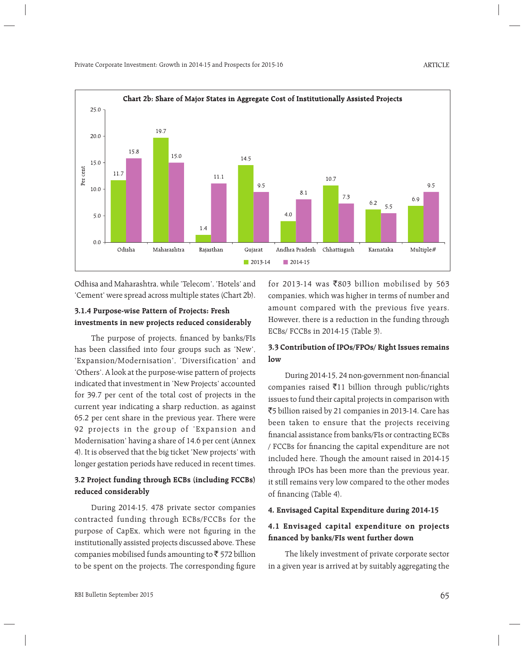

Odhisa and Maharashtra, while 'Telecom', 'Hotels' and 'Cement' were spread across multiple states (Chart 2b).

#### **3.1.4 Purpose-wise Pattern of Projects: Fresh investments in new projects reduced considerably**

The purpose of projects, financed by banks/FIs has been classified into four groups such as 'New', 'Expansion/Modernisation', 'Diversification' and 'Others'. A look at the purpose-wise pattern of projects indicated that investment in 'New Projects' accounted for 39.7 per cent of the total cost of projects in the current year indicating a sharp reduction, as against 65.2 per cent share in the previous year. There were 92 projects in the group of 'Expansion and Modernisation' having a share of 14.6 per cent (Annex 4). It is observed that the big ticket 'New projects' with longer gestation periods have reduced in recent times.

### **3.2 Project funding through ECBs (including FCCBs) reduced considerably**

 During 2014-15, 478 private sector companies contracted funding through ECBs/FCCBs for the purpose of CapEx, which were not figuring in the institutionally assisted projects discussed above. These companies mobilised funds amounting to  $\bar{z}$  572 billion to be spent on the projects. The corresponding figure for 2013-14 was  $\bar{z}$ 803 billion mobilised by 563 companies, which was higher in terms of number and amount compared with the previous five years. However, there is a reduction in the funding through ECBs/ FCCBs in 2014-15 (Table 3).

#### **3.3 Contribution of IPOs/FPOs/ Right Issues remains low**

During 2014-15, 24 non-government non-financial companies raised  $\bar{\tau}$ 11 billion through public/rights issues to fund their capital projects in comparison with `5 billion raised by 21 companies in 2013-14. Care has been taken to ensure that the projects receiving financial assistance from banks/FIs or contracting ECBs / FCCBs for financing the capital expenditure are not included here. Though the amount raised in 2014-15 through IPOs has been more than the previous year, it still remains very low compared to the other modes of financing (Table 4).

#### **4. Envisaged Capital Expenditure during 2014-15**

#### **4.1 Envisaged capital expenditure on projects fi nanced by banks/FIs went further down**

 The likely investment of private corporate sector in a given year is arrived at by suitably aggregating the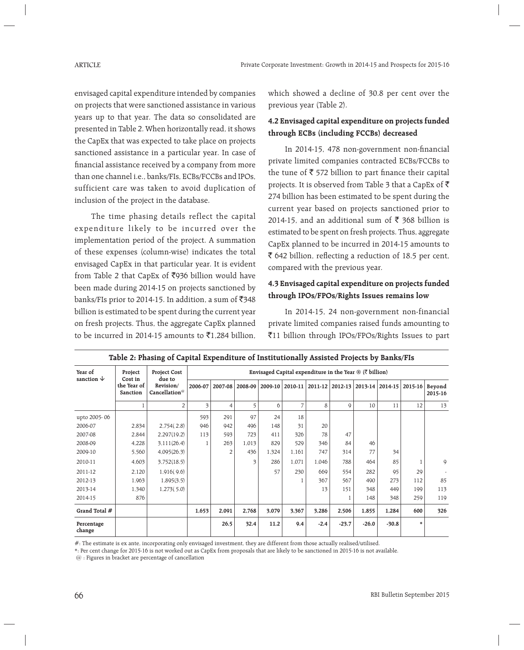envisaged capital expenditure intended by companies on projects that were sanctioned assistance in various years up to that year. The data so consolidated are presented in Table 2. When horizontally read, it shows the CapEx that was expected to take place on projects sanctioned assistance in a particular year. In case of financial assistance received by a company from more than one channel i.e., banks/FIs, ECBs/FCCBs and IPOs, sufficient care was taken to avoid duplication of inclusion of the project in the database.

 The time phasing details reflect the capital expenditure likely to be incurred over the implementation period of the project. A summation of these expenses (column-wise) indicates the total envisaged CapEx in that particular year. It is evident from Table 2 that CapEx of  $\overline{5}936$  billion would have been made during 2014-15 on projects sanctioned by banks/FIs prior to 2014-15. In addition, a sum of  $\overline{5}348$ billion is estimated to be spent during the current year on fresh projects. Thus, the aggregate CapEx planned to be incurred in 2014-15 amounts to  $\bar{\mathfrak{c}}$ 1.284 billion.

which showed a decline of 30.8 per cent over the previous year (Table 2).

# **4.2 Envisaged capital expenditure on projects funded through ECBs (including FCCBs) decreased**

In 2014-15, 478 non-government non-financial private limited companies contracted ECBs/FCCBs to the tune of  $\bar{\tau}$  572 billion to part finance their capital projects. It is observed from Table 3 that a CapEx of  $\bar{\tau}$ 274 billion has been estimated to be spent during the current year based on projects sanctioned prior to 2014-15, and an additional sum of  $\bar{\xi}$  368 billion is estimated to be spent on fresh projects. Thus, aggregate CapEx planned to be incurred in 2014-15 amounts to  $\bar{\bar{\xi}}$  642 billion, reflecting a reduction of 18.5 per cent, compared with the previous year.

# **4.3 Envisaged capital expenditure on projects funded through IPOs/FPOs/Rights Issues remains low**

 In 2014-15, 24 non-government non-financial private limited companies raised funds amounting to `11 billion through IPOs/FPOs/Rights Issues to part

| Year of<br>sanction $\downarrow$ | Project<br>Cost in      | <b>Project Cost</b><br>due to          | Envisaged Capital expenditure in the Year $\mathcal{B}$ ( $\bar{\mathcal{C}}$ billion) |                |         |         |                |             |             |         |         |         |                   |  |  |
|----------------------------------|-------------------------|----------------------------------------|----------------------------------------------------------------------------------------|----------------|---------|---------|----------------|-------------|-------------|---------|---------|---------|-------------------|--|--|
|                                  | the Year of<br>Sanction | Revision/<br>Cancellation <sup>@</sup> | 2006-07                                                                                | 2007-08        | 2008-09 | 2009-10 | 2010-11        | $2011 - 12$ | 2012-13     | 2013-14 | 2014-15 | 2015-16 | Beyond<br>2015-16 |  |  |
|                                  |                         | $\overline{2}$                         | 3                                                                                      | 4              | 5       | 6       | $\overline{7}$ | 8           | $\mathsf Q$ | 10      | 11      | 12      | 13                |  |  |
| upto 2005-06                     |                         |                                        | 593                                                                                    | 291            | 97      | 24      | 18             |             |             |         |         |         |                   |  |  |
| 2006-07                          | 2,834                   | 2,754(2.8)                             | 946                                                                                    | 942            | 496     | 148     | 31             | 20          |             |         |         |         |                   |  |  |
| 2007-08                          | 2,844                   | 2,297(19.2)                            | 113                                                                                    | 593            | 723     | 411     | 326            | 78          | 47          |         |         |         |                   |  |  |
| 2008-09                          | 4,228                   | 3,111(26.4)                            |                                                                                        | 263            | 1,013   | 829     | 529            | 346         | 84          | 46      |         |         |                   |  |  |
| 2009-10                          | 5,560                   | 4,095(26.3)                            |                                                                                        | $\overline{2}$ | 436     | 1,324   | 1,161          | 747         | 314         | 77      | 34      |         |                   |  |  |
| 2010-11                          | 4,603                   | 3,752(18.5)                            |                                                                                        |                | 3       | 286     | 1,071          | 1,046       | 788         | 464     | 85      |         | 9                 |  |  |
| 2011-12                          | 2,120                   | 1,916(9.6)                             |                                                                                        |                |         | 57      | 230            | 669         | 554         | 282     | 95      | 29      |                   |  |  |
| 2012-13                          | 1,963                   | 1,895(3.5)                             |                                                                                        |                |         |         |                | 367         | 567         | 490     | 273     | 112     | 85                |  |  |
| 2013-14                          | 1,340                   | 1,273(5.0)                             |                                                                                        |                |         |         |                | 13          | 151         | 348     | 449     | 199     | 113               |  |  |
| 2014-15                          | 876                     |                                        |                                                                                        |                |         |         |                |             |             | 148     | 348     | 259     | 119               |  |  |
| Grand Total #                    |                         |                                        | 1,653                                                                                  | 2,091          | 2,768   | 3,079   | 3,367          | 3,286       | 2,506       | 1,855   | 1,284   | 600     | 326               |  |  |
| Percentage<br>change             |                         |                                        |                                                                                        | 26.5           | 32.4    | 11.2    | 9.4            | $-2.4$      | $-23.7$     | $-26.0$ | $-30.8$ | $\ast$  |                   |  |  |

| Table 2: Phasing of Capital Expenditure of Institutionally Assisted Projects by Banks/FIs |  |  |  |  |  |
|-------------------------------------------------------------------------------------------|--|--|--|--|--|
|-------------------------------------------------------------------------------------------|--|--|--|--|--|

#: The estimate is ex ante, incorporating only envisaged investment, they are different from those actually realised/utilised.

\*: Per cent change for 2015-16 is not worked out as CapEx from proposals that are likely to be sanctioned in 2015-16 is not available.

@ : Figures in bracket are percentage of cancellation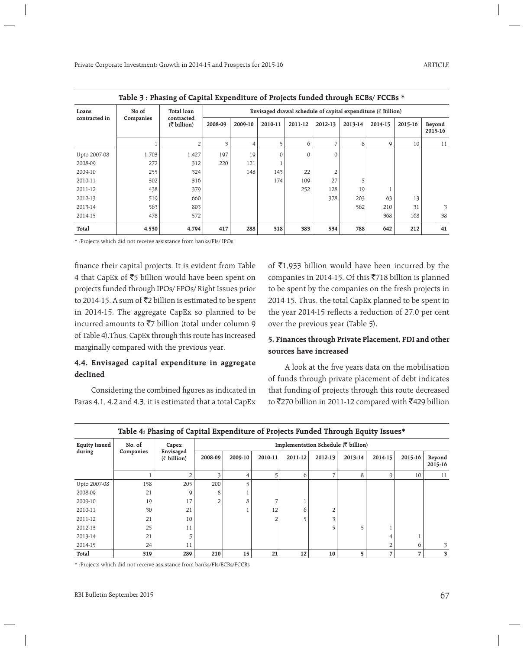|               |           | Table 3: Phasing of Capital Expenditure of Projects funded through ECBs/ FCCBs * |                                                                          |         |         |          |          |         |         |         |                   |  |  |  |  |  |
|---------------|-----------|----------------------------------------------------------------------------------|--------------------------------------------------------------------------|---------|---------|----------|----------|---------|---------|---------|-------------------|--|--|--|--|--|
| Loans         | No of     | <b>Total loan</b>                                                                | Envisaged drawal schedule of capital expenditure $(\bar{\tau})$ Billion) |         |         |          |          |         |         |         |                   |  |  |  |  |  |
| contracted in | Companies | contracted<br>$(\bar{z}$ billion)                                                | 2008-09                                                                  | 2009-10 | 2010-11 | 2011-12  | 2012-13  | 2013-14 | 2014-15 | 2015-16 | Beyond<br>2015-16 |  |  |  |  |  |
|               |           |                                                                                  | 3                                                                        | 4       |         | 6        |          | 8       | 9       | 10      | 11                |  |  |  |  |  |
| Upto 2007-08  | 1,703     | 1,427                                                                            | 197                                                                      | 19      |         | $\Omega$ | $\Omega$ |         |         |         |                   |  |  |  |  |  |
| 2008-09       | 272       | 312                                                                              | 220                                                                      | 121     |         |          |          |         |         |         |                   |  |  |  |  |  |
| 2009-10       | 255       | 324                                                                              |                                                                          | 148     | 143     | 22       |          |         |         |         |                   |  |  |  |  |  |
| 2010-11       | 302       | 316                                                                              |                                                                          |         | 174     | 109      | 27       |         |         |         |                   |  |  |  |  |  |
| 2011-12       | 438       | 379                                                                              |                                                                          |         |         | 252      | 128      | 19      |         |         |                   |  |  |  |  |  |
| 2012-13       | 519       | 660                                                                              |                                                                          |         |         |          | 378      | 203     | 63      | 13      |                   |  |  |  |  |  |
| 2013-14       | 563       | 803                                                                              |                                                                          |         |         |          |          | 562     | 210     | 31      | 3                 |  |  |  |  |  |
| 2014-15       | 478       | 572                                                                              |                                                                          |         |         |          |          |         | 368     | 168     | 38                |  |  |  |  |  |
| Total         | 4,530     | 4,794                                                                            | 417                                                                      | 288     | 318     | 383      | 534      | 788     | 642     | 212     | 41                |  |  |  |  |  |

\* :Projects which did not receive assistance from banks/FIs/ IPOs.

finance their capital projects. It is evident from Table 4 that CapEx of  $\overline{55}$  billion would have been spent on projects funded through IPOs/ FPOs/ Right Issues prior to 2014-15. A sum of  $\bar{z}$ 2 billion is estimated to be spent in 2014-15. The aggregate CapEx so planned to be incurred amounts to  $\overline{z}$  billion (total under column 9 of Table 4).Thus, CapEx through this route has increased marginally compared with the previous year.

#### **4.4. Envisaged capital expenditure in aggregate declined**

Considering the combined figures as indicated in Paras 4.1, 4.2 and 4.3, it is estimated that a total CapEx of  $\bar{\tau}$ 1,933 billion would have been incurred by the companies in 2014-15. Of this  $\overline{5}$ 718 billion is planned to be spent by the companies on the fresh projects in 2014-15. Thus, the total CapEx planned to be spent in the year 2014-15 reflects a reduction of 27.0 per cent over the previous year (Table 5).

#### **5. Finances through Private Placement, FDI and other sources have increased**

A look at the five years data on the mobilisation of funds through private placement of debt indicates that funding of projects through this route decreased to ₹270 billion in 2011-12 compared with ₹429 billion

| <b>Equity issued</b> | No. of<br>Companies | Capex<br>Envisaged  | Implementation Schedule $(\bar{\tau}$ billion) |         |         |         |                |         |         |         |                   |  |  |  |
|----------------------|---------------------|---------------------|------------------------------------------------|---------|---------|---------|----------------|---------|---------|---------|-------------------|--|--|--|
| during               |                     | $(\bar{z}$ billion) | 2008-09                                        | 2009-10 | 2010-11 | 2011-12 | 2012-13        | 2013-14 | 2014-15 | 2015-16 | Beyond<br>2015-16 |  |  |  |
|                      |                     |                     | 3                                              | 4       | 5       | 6       |                | 8       | 9       | 10      | 11                |  |  |  |
| Upto 2007-08         | 158                 | 205                 | 200                                            | 5       |         |         |                |         |         |         |                   |  |  |  |
| 2008-09              | 21                  | 9                   | 8                                              |         |         |         |                |         |         |         |                   |  |  |  |
| 2009-10              | 19                  | 17                  | 2                                              | 8       | ⇁       |         |                |         |         |         |                   |  |  |  |
| 2010-11              | 30                  | 21                  |                                                |         | 12      | 6       | $\overline{2}$ |         |         |         |                   |  |  |  |
| 2011-12              | 21                  | 10                  |                                                |         | 2       | 5       | $\overline{a}$ |         |         |         |                   |  |  |  |
| 2012-13              | 25                  | 11                  |                                                |         |         |         |                |         |         |         |                   |  |  |  |
| 2013-14              | 21                  |                     |                                                |         |         |         |                |         | 4       |         |                   |  |  |  |
| 2014-15              | 24                  | 11                  |                                                |         |         |         |                |         |         | 6       | 3                 |  |  |  |
| Total                | 319                 | 289                 | 210                                            | 15      | 21      | 12      | 10             |         |         |         | 3                 |  |  |  |

**Table 4: Phasing of Capital Expenditure of Projects Funded Through Equity Issues\***

\* :Projects which did not receive assistance from banks/FIs/ECBs/FCCBs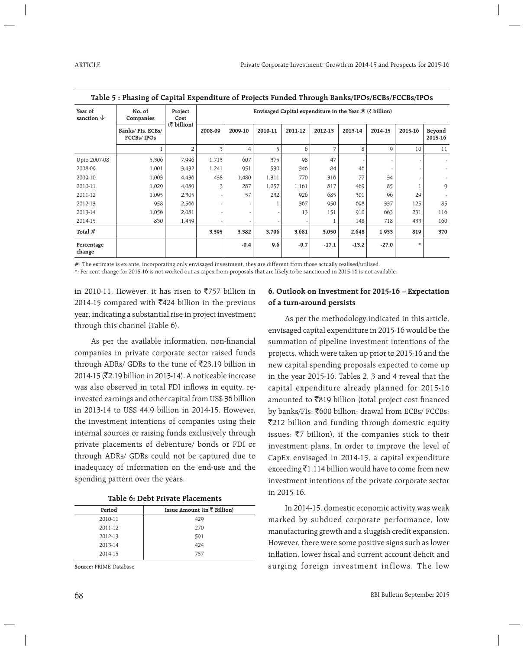| Year of<br>sanction $\psi$ | No. of<br>Companies            | Project<br>Cost | Envisaged Capital expenditure in the Year $\mathcal{D}$ ( $\overline{\zeta}$ billion)<br>(₹ billion) |         |         |         |         |         |         |         |                   |  |  |  |
|----------------------------|--------------------------------|-----------------|------------------------------------------------------------------------------------------------------|---------|---------|---------|---------|---------|---------|---------|-------------------|--|--|--|
|                            | Banks/FIs, ECBs/<br>FCCBs/IPOs |                 | 2008-09                                                                                              | 2009-10 | 2010-11 | 2011-12 | 2012-13 | 2013-14 | 2014-15 | 2015-16 | Beyond<br>2015-16 |  |  |  |
|                            |                                | $\overline{2}$  | $\overline{\mathbf{3}}$                                                                              | 4       | 5       | 6       |         | 8       | 9       | 10      | 11                |  |  |  |
| Upto 2007-08               | 5,306                          | 7,996           | 1,713                                                                                                | 607     | 375     | 98      | 47      |         |         |         |                   |  |  |  |
| 2008-09                    | 1,001                          | 3,432           | 1,241                                                                                                | 951     | 530     | 346     | 84      | 46      |         |         |                   |  |  |  |
| 2009-10                    | 1,003                          | 4,436           | 438                                                                                                  | 1,480   | 1,311   | 770     | 316     | 77      | 34      |         |                   |  |  |  |
| 2010-11                    | 1,029                          | 4,089           | 3                                                                                                    | 287     | 1,257   | 1,161   | 817     | 469     | 85      |         | 9                 |  |  |  |
| 2011-12                    | 1,095                          | 2,305           |                                                                                                      | 57      | 232     | 926     | 685     | 301     | 96      | 29      |                   |  |  |  |
| 2012-13                    | 958                            | 2,566           |                                                                                                      |         |         | 367     | 950     | 698     | 337     | 125     | 85                |  |  |  |
| 2013-14                    | 1,056                          | 2,081           |                                                                                                      |         |         | 13      | 151     | 910     | 663     | 231     | 116               |  |  |  |
| 2014-15                    | 830                            | 1,459           |                                                                                                      |         |         |         |         | 148     | 718     | 433     | 160               |  |  |  |
| Total #                    |                                |                 | 3,395                                                                                                | 3,382   | 3,706   | 3,681   | 3,050   | 2,648   | 1,933   | 819     | 370               |  |  |  |
| Percentage<br>change       |                                |                 |                                                                                                      | $-0.4$  | 9.6     | $-0.7$  | $-17.1$ | $-13.2$ | $-27.0$ | $\ast$  |                   |  |  |  |

**Table 5 : Phasing of Capital Expenditure of Projects Funded Through Banks/IPOs/ECBs/FCCBs/IPOs**

#: The estimate is ex ante, incorporating only envisaged investment, they are different from those actually realised/utilised.

\*: Per cent change for 2015-16 is not worked out as capex from proposals that are likely to be sanctioned in 2015-16 is not available.

in 2010-11. However, it has risen to  $\overline{5}757$  billion in 2014-15 compared with  $\bar{x}$ 424 billion in the previous year, indicating a substantial rise in project investment through this channel (Table 6).

As per the available information, non-financial companies in private corporate sector raised funds through ADRs/ GDRs to the tune of  $\overline{5}23.19$  billion in 2014-15 (₹2.19 billion in 2013-14). A noticeable increase was also observed in total FDI inflows in equity, reinvested earnings and other capital from US\$ 36 billion in 2013-14 to US\$ 44.9 billion in 2014-15. However, the investment intentions of companies using their internal sources or raising funds exclusively through private placements of debenture/ bonds or FDI or through ADRs/ GDRs could not be captured due to inadequacy of information on the end-use and the spending pattern over the years.

| Period  | Issue Amount (in $\bar{\tau}$ Billion) |
|---------|----------------------------------------|
| 2010-11 | 429                                    |
| 2011-12 | 270                                    |
| 2012-13 | 591                                    |
| 2013-14 | 424                                    |
| 2014-15 | 757                                    |

**Source:** PRIME Database

#### **6. Outlook on Investment for 2015-16 – Expectation of a turn-around persists**

 As per the methodology indicated in this article, envisaged capital expenditure in 2015-16 would be the summation of pipeline investment intentions of the projects, which were taken up prior to 2015-16 and the new capital spending proposals expected to come up in the year 2015-16. Tables 2, 3 and 4 reveal that the capital expenditure already planned for 2015-16 amounted to  $\bar{z}819$  billion (total project cost financed by banks/FIs: ₹600 billion; drawal from ECBs/ FCCBs: `212 billion and funding through domestic equity issues:  $\bar{z}$  billion), if the companies stick to their investment plans. In order to improve the level of CapEx envisaged in 2014-15, a capital expenditure exceeding  $\bar{\mathfrak{Z}}1,114$  billion would have to come from new investment intentions of the private corporate sector in 2015-16.

 In 2014-15, domestic economic activity was weak marked by subdued corporate performance, low manufacturing growth and a sluggish credit expansion. However, there were some positive signs such as lower inflation, lower fiscal and current account deficit and surging foreign investment inflows. The low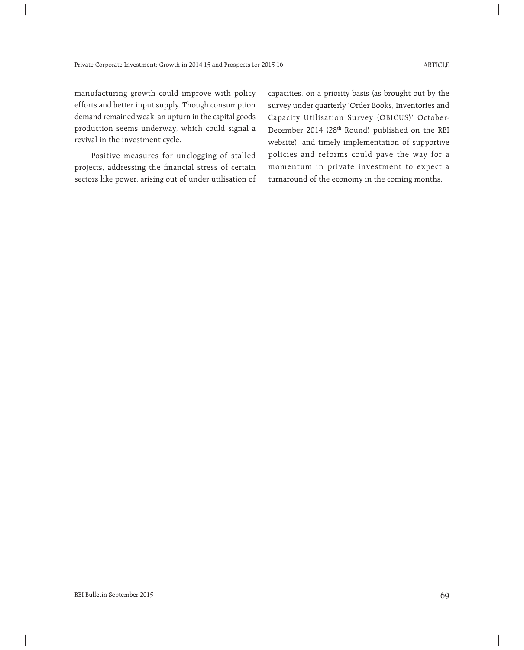manufacturing growth could improve with policy efforts and better input supply. Though consumption demand remained weak, an upturn in the capital goods production seems underway, which could signal a revival in the investment cycle.

 Positive measures for unclogging of stalled projects, addressing the financial stress of certain sectors like power, arising out of under utilisation of capacities, on a priority basis (as brought out by the survey under quarterly 'Order Books, Inventories and Capacity Utilisation Survey (OBICUS)' October-December 2014 (28<sup>th</sup> Round) published on the RBI website), and timely implementation of supportive policies and reforms could pave the way for a momentum in private investment to expect a turnaround of the economy in the coming months.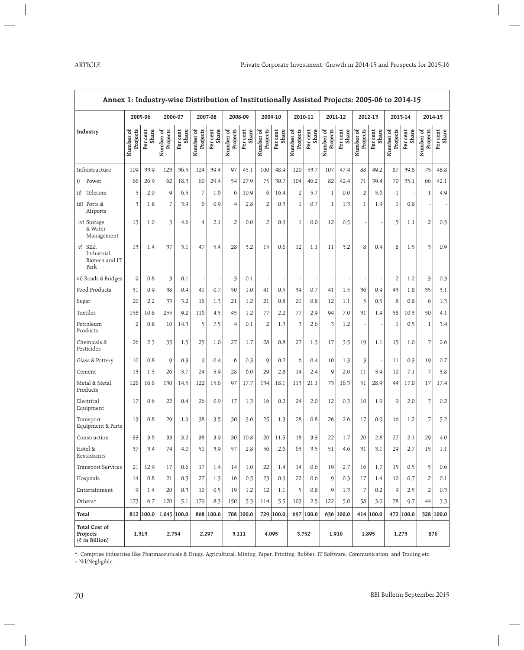| Annex 1: Industry-wise Distribution of Institutionally Assisted Projects: 2005-06 to 2014-15 |                       |                   |                       |                   |                       |                   |                       |                   |                       |                   |                       |                   |                       |                   |                       |                   |                       |                   |                       |                   |
|----------------------------------------------------------------------------------------------|-----------------------|-------------------|-----------------------|-------------------|-----------------------|-------------------|-----------------------|-------------------|-----------------------|-------------------|-----------------------|-------------------|-----------------------|-------------------|-----------------------|-------------------|-----------------------|-------------------|-----------------------|-------------------|
|                                                                                              |                       | 2005-06           | 2006-07               |                   |                       | 2007-08           | 2008-09               |                   |                       | 2009-10           | 2010-11               |                   |                       | 2011-12           |                       | 2012-13           | 2013-14               |                   | 2014-15               |                   |
| Industry                                                                                     | Number of<br>Projects | Per cent<br>Share | Number of<br>Projects | Per cent<br>Share | Number of<br>Projects | Share<br>Per cent | Number of<br>Projects | Per cent<br>Share | Number of<br>Projects | Per cent<br>Share | Number of<br>Projects | Per cent<br>Share | Number of<br>Projects | Share<br>Per cent | Number of<br>Projects | Per cent<br>Share | Number of<br>Projects | Per cent<br>Share | Number of<br>Projects | Per cent<br>Share |
| Infrastructure                                                                               | 109                   | 33.9              | 123                   | 36.5              | 124                   | 39.4              | 97                    | 45.1              | 100                   | 48.9              | 120                   | 53.7              | 107                   | 47.4              | 88                    | 49.2              | 87                    | 39.8              | 75                    | 48.8              |
| Power<br>i)                                                                                  | 66                    | 26.9              | 62                    | 18.3              | 60                    | 29.4              | 54                    | 27.9              | 75                    | 30.7              | 104                   | 46.2              | 82                    | 42.4              | 71                    | 39.4              | 70                    | 35.1              | 66                    | 42.1              |
| Telecom<br>$\rm ii)$                                                                         | 5                     | 2.0               | 9                     | 6.5               | 7                     | 1.6               | 6                     | 10.9              | 6                     | 16.4              | $\overline{2}$        | 5.7               | $\mathbf{1}$          | 0.0               | 2                     | 5.6               | $\mathbf{1}$          |                   | $\mathbf{1}$          | 4.9               |
| iii) Ports &<br>Airports                                                                     | 3                     | 1.8               | 7                     | 3.9               | 6                     | 0.9               | 4                     | 2.8               | $\overline{c}$        | 0.3               | $\mathbf{1}$          | 0.7               | $\mathbf{1}$          | 1.3               | 1                     | 1.9               | $\mathbf{1}$          | 0.8               |                       |                   |
| iv) Storage<br>& Water<br>Management                                                         | 13                    | 1.0               | 5                     | 4.6               | 4                     | 2.1               | $\overline{2}$        | 0.0               | $\overline{2}$        | 0.9               | $\mathbf{1}$          | 0.0               | 12                    | 0.5               |                       |                   | 5                     | 1.1               | $\overline{2}$        | 0.5               |
| SEZ,<br>V)<br>Industrial,<br>Biotech and IT<br>Park                                          | 13                    | 1.4               | 37                    | 3.1               | 47                    | 5.4               | 28                    | 3.2               | 15                    | 0.6               | 12                    | 1.1               | 11                    | 3.2               | 8                     | 0.9               | 8                     | 1.5               | 3                     | 0.9               |
| vi) Roads & Bridges                                                                          | $\mathsf{Q}$          | 0.8               | 3                     | 0.1               |                       |                   | 3                     | 0.1               |                       |                   |                       |                   |                       |                   |                       |                   | $\overline{2}$        | 1.2               | 3                     | 0.3               |
| Food Products                                                                                | 31                    | 0.9               | 38                    | 0.9               | 41                    | 0.7               | 50                    | 1.0               | 41                    | 0.5               | 39                    | 0.7               | 41                    | 1.5               | 36                    | 0.9               | 43                    | 1.8               | 35                    | 3.1               |
| Sugar                                                                                        | 20                    | 2.2               | 33                    | 3.2               | 16                    | 1.3               | 21                    | 1.2               | 21                    | 0.8               | 21                    | 0.8               | 12                    | 1.1               | 5                     | 0.5               | 8                     | 0.8               | 6                     | 1.3               |
| Textiles                                                                                     | 158                   | 10.8              | 255                   | 9.2               | 116                   | 4.5               | 45                    | 1.2               | 77                    | 2.2               | 77                    | 2.9               | 94                    | 7.0               | 31                    | 1.9               | 58                    | 10.3              | 50                    | 4.1               |
| Petroleum<br>Products                                                                        | $\overline{2}$        | 0.8               | 10                    | 14.3              | 5                     | 7.5               | 4                     | 0.1               | $\overline{2}$        | 1.3               | 3                     | 2.6               | 3                     | 1.2               |                       |                   | $\mathbf{1}$          | 0.5               | $\mathbf{1}$          | 3.4               |
| Chemicals &<br>Pesticides                                                                    | 26                    | 2.3               | 35                    | 1.5               | 25                    | 1.0               | 27                    | 1.7               | 28                    | 0.8               | 27                    | 1.3               | 17                    | 3.5               | 19                    | 1.1               | 15                    | 1.0               | 7                     | 2.6               |
| Glass & Pottery                                                                              | 10                    | 0.8               | $\mathsf{Q}$          | 0.3               | $\mathsf{Q}$          | 0.4               | 6                     | 0.3               | $\mathsf{Q}$          | 0.2               | 6                     | 0.4               | 10                    | 1.3               | 3                     |                   | 11                    | 0.3               | 19                    | 0.7               |
| Cement                                                                                       | 13                    | 1.5               | 26                    | 3.7               | 24                    | 5.9               | 28                    | 6.0               | 29                    | 2.8               | 14                    | 2.4               | $\mathsf Q$           | 2.0               | 11                    | 3.9               | 12                    | 7.1               | 7                     | 3.8               |
| Metal & Metal<br>Products                                                                    | 126                   | 16.6              | 130                   | 14.5              | 122                   | 15.6              | 97                    | 17.7              | 134                   | 18.1              | 113                   | 21.1              | 73                    | 16.3              | 51                    | 28.9              | 44                    | 17.0              | 17                    | 17.4              |
| Electrical<br>Equipment                                                                      | 17                    | 0.6               | 22                    | 0.4               | 26                    | 0.9               | 17                    | 1.3               | 16                    | 0.2               | 24                    | 2.0               | 12                    | 0.3               | 10                    | 1.9               | 9                     | 2.0               | 7                     | 0.2               |
| Transport<br>Equipment & Parts                                                               | 13                    | 0.8               | 29                    | 1.9               | 38                    | 3.5               | 30                    | 3.0               | 25                    | 1.3               | 28                    | 0.8               | 26                    | 2.6               | 17                    | 0.9               | 16                    | 1.2               | 7                     | 5.2               |
| Construction                                                                                 | 33                    | 3.6               | 33                    | 3.2               | 38                    | 3.9               | 30                    | 10.8              | 20                    | 11.5              | 18                    | 3.3               | 22                    | 1.7               | 20                    | 2.8               | 27                    | 2.1               | 29                    | 4.0               |
| Hotel &<br>Restaurants                                                                       | 37                    | 3.4               | 74                    | 4.0               | 51                    | 3.9               | 57                    | 2.8               | 56                    | 2.6               | 63                    | 3.5               | 51                    | 4.6               | 31                    | 3.1               | 29                    | 2.7               | 15                    | 1.1               |
| <b>Transport Services</b>                                                                    | 21                    | 12.9              | 17                    | 0.6               | 17                    | 1.4               | 14                    | 1.0               | 22                    | 1.4               | 14                    | 0.6               | 19                    | 2.7               | 16                    | 1.7               | 15                    | 0.5               | 5                     | 0.6               |
| Hospitals                                                                                    | 14                    | 0.8               | 21                    | 0.5               | 27                    | 1.3               | 16                    | 0.5               | 23                    | 0.9               | 22                    | 0.6               | $\mathsf{Q}$          | 0.3               | 17                    | 1.4               | 10                    | 0.7               | 2                     | 0.1               |
| Entertainment                                                                                | 9                     | 1.4               | 20                    | 0.3               | 10                    | 0.5               | 19                    | 1.2               | 12                    | 1.1               | 5                     | 0.8               | 9                     | 1.3               | 7                     | 0.2               | $\mathsf{Q}$          | 2.5               | $\overline{2}$        | 0.3               |
| Others*                                                                                      | 173                   | 6.7               | 170                   | 5.1               | 179                   | 8.3               | 150                   | 5.3               | 114                   | 5.5               | 103                   | 2.5               | 122                   | 5.0               | 58                    | 3.0               | 78                    | 9.7               | 44                    | 3.3               |
| Total                                                                                        |                       | 812 100.0         | $1,045$ 100.0         |                   |                       | 868 100.0         |                       | 708 100.0         |                       | 729 100.0         |                       | 697 100.0         |                       | 636 100.0         |                       | 414 100.0         |                       | 472 100.0         |                       | 328 100.0         |
| Total Cost of<br>Projects<br>$(\bar{z}$ in Billion)                                          | 1,313<br>2,754        |                   |                       | 2,297<br>3,111    |                       |                   | 4,095<br>3,752        |                   | 1,916                 |                   | 1,895                 |                   | 1,273                 |                   | 876                   |                   |                       |                   |                       |                   |

\*: Comprise industries like Pharmaceuticals & Drugs, Agricultural, Mining, Paper, Printing, Rubber, IT Software, Communication, and Trading etc. -: Nil/Negligible.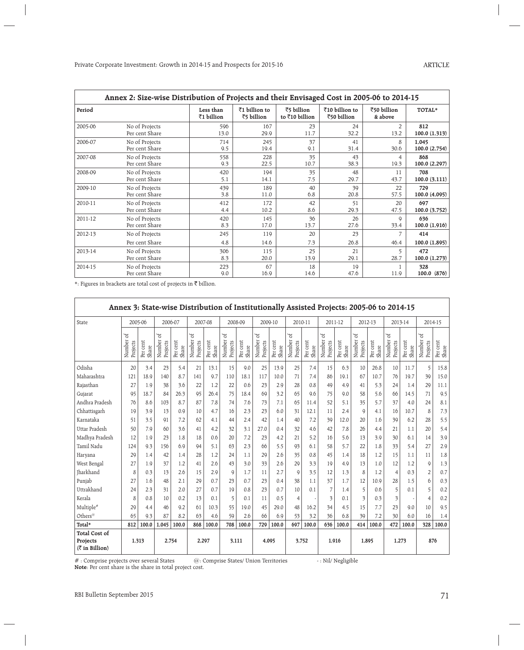|         | Annex 2: Size-wise Distribution of Projects and their Envisaged Cost in 2005-06 to 2014-15 |                         |                             |                              |                               |                        |                    |
|---------|--------------------------------------------------------------------------------------------|-------------------------|-----------------------------|------------------------------|-------------------------------|------------------------|--------------------|
| Period  |                                                                                            | Less than<br>₹1 billion | ₹1 billion to<br>₹5 billion | ₹5 billion<br>to ₹10 billion | ₹10 billion to<br>₹50 billion | ₹50 billion<br>& above | TOTAL*             |
| 2005-06 | No of Projects                                                                             | 596                     | 167                         | 23                           | 24                            | 2                      | 812                |
|         | Per cent Share                                                                             | 13.0                    | 29.9                        | 11.7                         | 32.2                          | 13.2                   | 100.0 (1,313)      |
| 2006-07 | No of Projects                                                                             | 714                     | 245                         | 37                           | 41                            | 8                      | 1,045              |
|         | Per cent Share                                                                             | 9.5                     | 19.4                        | 9.1                          | 31.4                          | 30.6                   | 100.0 (2,754)      |
| 2007-08 | No of Projects                                                                             | 558                     | 228                         | 35                           | 43                            | 4                      | 868                |
|         | Per cent Share                                                                             | 9.3                     | 22.5                        | 10.7                         | 38.3                          | 19.3                   | 100.0 (2,297)      |
| 2008-09 | No of Projects                                                                             | 420                     | 194                         | 35                           | 48                            | 11                     | 708                |
|         | Per cent Share                                                                             | 5.1                     | 14.1                        | 7.5                          | 29.7                          | 43.7                   | 100.0(3,111)       |
| 2009-10 | No of Projects                                                                             | 439                     | 189                         | 40                           | 39                            | 22                     | 729                |
|         | Per cent Share                                                                             | 3.8                     | 11.0                        | 6.8                          | 20.8                          | 57.5                   | 100.0 (4,095)      |
| 2010-11 | No of Projects                                                                             | 412                     | 172                         | 42                           | 51                            | 20                     | 697                |
|         | Per cent Share                                                                             | 4.4                     | 10.2                        | 8.6                          | 29.3                          | 47.5                   | 100.0 (3,752)      |
| 2011-12 | No of Projects                                                                             | 420                     | 145                         | 36                           | 26                            | $\mathsf Q$            | 636                |
|         | Per cent Share                                                                             | 8.3                     | 17.0                        | 13.7                         | 27.6                          | 33.4                   | 100.0 (1,916)      |
| 2012-13 | No of Projects                                                                             | 245                     | 119                         | 20                           | 23                            |                        | 414                |
|         | Per cent Share                                                                             | 4.8                     | 14.6                        | 7.3                          | 26.8                          | 46.4                   | 100.0 (1,895)      |
| 2013-14 | No of Projects                                                                             | 306                     | 115                         | 25                           | 21                            | 5                      | 472                |
|         | Per cent Share                                                                             | 8.3                     | 20.0                        | 13.9                         | 29.1                          | 28.7                   | 100.0 (1,273)      |
| 2014-15 | No of Projects<br>Per cent Share                                                           | 223<br>9.0              | 67<br>16.9                  | 18<br>14.6                   | 19<br>47.6                    | 11.9                   | 328<br>100.0 (876) |

\*: Figures in brackets are total cost of projects in  $\overline{\mathfrak{C}}$  billion.

| Annex 3: State-wise Distribution of Institutionally Assisted Projects: 2005-06 to 2014-15 |                       |                   |                         |                   |                         |                      |                         |                   |                          |                   |                         |                   |                         |                      |                          |                   |                         |                   |                          |                   |
|-------------------------------------------------------------------------------------------|-----------------------|-------------------|-------------------------|-------------------|-------------------------|----------------------|-------------------------|-------------------|--------------------------|-------------------|-------------------------|-------------------|-------------------------|----------------------|--------------------------|-------------------|-------------------------|-------------------|--------------------------|-------------------|
| State                                                                                     |                       | 2005-06           |                         | 2006-07           | 2007-08                 |                      | 2008-09                 |                   |                          | 2009-10           |                         | 2010-11           |                         | 2011-12              |                          | 2012-13           |                         | 2013-14           |                          | 2014-15           |
|                                                                                           | Number of<br>Projects | Per cent<br>Share | đ<br>Number<br>Projects | Per cent<br>Share | đ<br>Number<br>Projects | cent<br>Share<br>Per | đ<br>Number<br>Projects | Per cent<br>Share | ъŕ<br>Number<br>Projects | Per cent<br>Share | đ<br>Number<br>Projects | Per cent<br>Share | đ<br>Number<br>Projects | cent<br>Share<br>Per | ď<br>Number<br>Projects  | Per cent<br>Share | đ<br>Number<br>Projects | Per cent<br>Share | ъf<br>Number<br>Projects | Per cent<br>Share |
| Odisha                                                                                    | 20                    | 3.4               | 23                      | 5.4               | 21                      | 13.1                 | 15                      | 9.0               | 25                       | 13.9              | 25                      | 7.4               | 15                      | 6.3                  | 10                       | 26.8              | 10                      | 11.7              | 5                        | 15.8              |
| Maharashtra                                                                               | 121                   | 18.9              | 140                     | 8.7               | 141                     | 9.7                  | 110                     | 18.1              | 117                      | 10.0              | 71                      | 7.4               | 86                      | 19.1                 | 67                       | 10.7              | 76                      | 19.7              | 39                       | 15.0              |
| Rajasthan                                                                                 | 27                    | 1.9               | 38                      | 3.6               | 22                      | 1.2                  | 22                      | 0.6               | 23                       | 2.9               | 28                      | 0.8               | 49                      | 4.9                  | 41                       | 5.3               | 24                      | 1.4               | 29                       | 11.1              |
| Gujarat                                                                                   | 95                    | 18.7              | 84                      | 26.3              | 95                      | 26.4                 | 75                      | 18.4              | 69                       | 3.2               | 65                      | 9.6               | 75                      | 9.0                  | 58                       | 5.6               | 66                      | 14.5              | 71                       | 9.5               |
| Andhra Pradesh                                                                            | 76                    | 8.6               | 103                     | 8.7               | 87                      | 7.8                  | 74                      | 7.6               | 73                       | 7.1               | 65                      | 11.4              | 52                      | 5.1                  | 35                       | 5.7               | 37                      | 4.0               | 24                       | 8.1               |
| Chhattisgarh                                                                              | 19                    | 3.9               | 13                      | 0.9               | 10                      | 4.7                  | 16                      | 2.3               | 23                       | 6.0               | 31                      | 12.1              | 11                      | 2.4                  | $\mathsf{Q}$             | 4.1               | 16                      | 10.7              | 8                        | 7.3               |
| Karnataka                                                                                 | 51                    | 3.5               | 91                      | 7.2               | 62                      | 4.1                  | 44                      | 2.4               | 42                       | 1.4               | 40                      | 7.2               | 39                      | 12.0                 | 20                       | 1.6               | 39                      | 6.2               | 28                       | 5.5               |
| Uttar Pradesh                                                                             | 50                    | 7.9               | 60                      | 3.6               | 41                      | 4.2                  | 32                      | 3.1               | 27.0                     | 0.4               | 32                      | 4.6               | 42                      | 7.8                  | 26                       | 4.4               | 21                      | 1.1               | 20                       | 5.4               |
| Madhya Pradesh                                                                            | 12                    | 1.9               | 23                      | 1.8               | 18                      | 0.6                  | 20                      | 7.2               | 23                       | 4.2               | 21                      | 5.2               | 16                      | 5.6                  | 13                       | 3.9               | 30                      | 6.1               | 14                       | 3.9               |
| Tamil Nadu                                                                                | 124                   | 9.3               | 156                     | 6.9               | 94                      | 5.1                  | 63                      | 2.3               | 66                       | 5.5               | 93                      | 6.1               | 58                      | 5.7                  | 22                       | 1.8               | 33                      | 5.4               | 27                       | 2.9               |
| Haryana                                                                                   | 29                    | 1.4               | 42                      | 1.4               | 28                      | 1.2                  | 24                      | 1.1               | 29                       | 2.6               | 35                      | 0.8               | 45                      | 1.4                  | 18                       | 1.2               | 15                      | 1.1               | 11                       | 1.8               |
| West Bengal                                                                               | 27                    | 1.9               | 37                      | 1.2               | 41                      | 2.6                  | 43                      | 3.0               | 33                       | 2.6               | 29                      | 3.3               | 19                      | 4.9                  | 13                       | 1.0               | 12                      | 1.2               | $\mathsf{Q}$             | 1.3               |
| <b>Iharkhand</b>                                                                          | 8                     | 0.3               | 13                      | 2.6               | 15                      | 2.9                  | 9                       | 1.7               | 11                       | 2.7               | $\mathsf{Q}$            | 3.5               | 12                      | 1.3                  | 8                        | 1.2               | $\overline{4}$          | 0.3               | $\overline{2}$           | 0.7               |
| Punjab                                                                                    | 27                    | 1.6               | 48                      | 2.1               | 29                      | 0.7                  | 23                      | 0.7               | 23                       | 0.4               | 38                      | 1.1               | 37                      | 1.7                  | 12                       | 10.9              | 28                      | 1.5               | 6                        | 0.3               |
| Uttrakhand                                                                                | 24                    | 2.3               | 31                      | 2.0               | 27                      | 0.7                  | 19                      | 0.8               | 23                       | 0.7               | 10                      | 0.1               | $\overline{7}$          | 1.4                  | 5                        | 0.6               | 5                       | 0.1               | 5                        | 0.2               |
| Kerala                                                                                    | 8                     | 0.8               | 10                      | 0.2               | 13                      | 0.1                  | 5                       | 0.1               | 11                       | 0.5               | $\overline{4}$          |                   | 3                       | 0.1                  | $\overline{\mathcal{E}}$ | 0.3               | 3                       |                   | $\overline{4}$           | 0.2               |
| Multiple#                                                                                 | 29                    | 4.4               | 46                      | 9.2               | 61                      | 10.3                 | 55                      | 19.0              | 45                       | 29.0              | 48                      | 16.2              | 34                      | 4.5                  | 15                       | 7.7               | 23                      | 9.0               | 10                       | 9.5               |
| Others <sup>@</sup>                                                                       | 65                    | 9.3               | 87                      | 8.2               | 63                      | 4.6                  | 59                      | 2.6               | 66                       | 6.9               | 53                      | 3.2               | 36                      | 6.8                  | 39                       | 7.2               | 30                      | 6.0               | 16                       | 1.4               |
| Total*                                                                                    | 812                   | 100.0             | 1,045                   | 100.0             | 868                     | 100.0                | 708                     | 100.0             | 729                      | 100.0             | 697                     | 100.0             | 636                     | 100.0                | 414                      | 100.0             | 472                     | 100.0             | 328                      | 100.0             |
| Total Cost of<br>Projects<br>$(\bar{z}$ in Billion)                                       |                       | 1.313             |                         | 2.754             | 2.297                   |                      | 3.111                   |                   |                          | 4.095             |                         | 3,752             |                         | 1.916                |                          | 1.895             | 1.273                   |                   |                          | 876               |

 $\#$  : Comprise projects over several States  $\qquad \quad \textcircled{a}$ : Comprise States/ Union Territories  $\qquad \qquad \quad \cdot \text{Nil/ Negligible}$ 

**Note**: Per cent share is the share in total project cost.